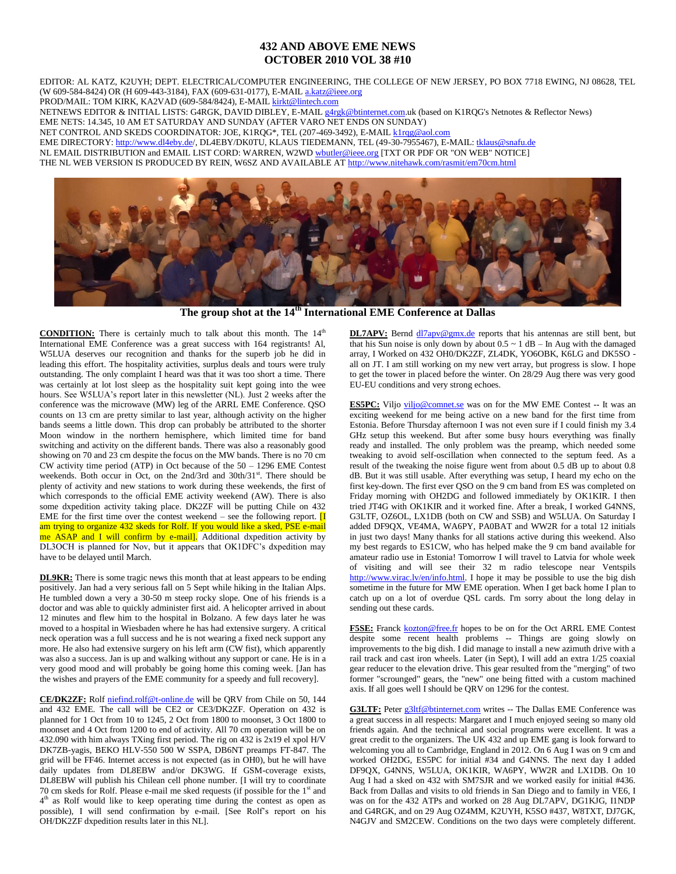## **432 AND ABOVE EME NEWS OCTOBER 2010 VOL 38 #10**

EDITOR: AL KATZ, K2UYH; DEPT. ELECTRICAL/COMPUTER ENGINEERING, THE COLLEGE OF NEW JERSEY, PO BOX 7718 EWING, NJ 08628, TEL (W 609-584-8424) OR (H 609-443-3184), FAX (609-631-0177), E-MAI[L a.katz@ieee.org](mailto:a.katz@ieee.org)

PROD/MAIL: TOM KIRK, KA2VAD (609-584/8424), E-MAI[L kirkt@lintech.com](mailto:kirkt@lintech.com) 

NETNEWS EDITOR & INITIAL LISTS: G4RGK, DAVID DIBLEY, E-MAI[L g4rgk@btinternet.com.](mailto:g4rgk@btinternet.com)uk (based on K1RQG's Netnotes & Reflector News) EME NETS: 14.345, 10 AM ET SATURDAY AND SUNDAY (AFTER VARO NET ENDS ON SUNDAY)

NET CONTROL AND SKEDS COORDINATOR: JOE, K1RQG\*, TEL (207-469-3492), E-MAI[L k1rqg@aol.com](mailto:k1rqg@aol.com)

EME DIRECTORY: [http://www.dl4eby.de/,](http://www.dl4eby.de/) DL4EBY/DK0TU, KLAUS TIEDEMANN, TEL (49-30-7955467), E-MAIL[: tklaus@snafu.de](mailto:tklaus@snafu.de)

NL EMAIL DISTRIBUTION and EMAIL LIST CORD: WARREN, W2WD [wbutler@ieee.org](mailto:wbutler@ieee.org) [TXT OR PDF OR "ON WEB" NOTICE]

THE NL WEB VERSION IS PRODUCED BY REIN, W6SZ AND AVAILABLE A[T http://www.nitehawk.com/rasmit/em70cm.html](http://www.nitehawk.com/rasmit/em70cm.html)



**The group shot at the 14th International EME Conference at Dallas**

**CONDITION:** There is certainly much to talk about this month. The 14<sup>th</sup> International EME Conference was a great success with 164 registrants! Al, W5LUA deserves our recognition and thanks for the superb job he did in leading this effort. The hospitality activities, surplus deals and tours were truly outstanding. The only complaint I heard was that it was too short a time. There was certainly at lot lost sleep as the hospitality suit kept going into the wee hours. See W5LUA's report later in this newsletter (NL). Just 2 weeks after the conference was the microwave (MW) leg of the ARRL EME Conference. QSO counts on 13 cm are pretty similar to last year, although activity on the higher bands seems a little down. This drop can probably be attributed to the shorter Moon window in the northern hemisphere, which limited time for band switching and activity on the different bands. There was also a reasonably good showing on 70 and 23 cm despite the focus on the MW bands. There is no  $70 \text{ cm}$ CW activity time period (ATP) in Oct because of the 50 – 1296 EME Contest weekends. Both occur in Oct, on the 2nd/3rd and 30th/31st. There should be plenty of activity and new stations to work during these weekends, the first of which corresponds to the official EME activity weekend (AW). There is also some dxpedition activity taking place. DK2ZF will be putting Chile on 432 EME for the first time over the contest weekend – see the following report.  $\boxed{I}$ am trying to organize 432 skeds for Rolf. If you would like a sked, PSE e-mail me ASAP and I will confirm by e-mail]. Additional dxpedition activity by DL3OCH is planned for Nov, but it appears that OK1DFC's dxpedition may have to be delayed until March.

**DL9KR:** There is some tragic news this month that at least appears to be ending positively. Jan had a very serious fall on 5 Sept while hiking in the Italian Alps. He tumbled down a very a 30-50 m steep rocky slope. One of his friends is a doctor and was able to quickly administer first aid. A helicopter arrived in about 12 minutes and flew him to the hospital in Bolzano. A few days later he was moved to a hospital in Wiesbaden where he has had extensive surgery. A critical neck operation was a full success and he is not wearing a fixed neck support any more. He also had extensive surgery on his left arm (CW fist), which apparently was also a success. Jan is up and walking without any support or cane. He is in a very good mood and will probably be going home this coming week. [Jan has the wishes and prayers of the EME community for a speedy and full recovery].

**CE/DK2ZF:** Rolf [niefind.rolf@t-online.de](mailto:niefind.rolf@t-online.de) will be QRV from Chile on 50, 144 and 432 EME. The call will be CE2 or CE3/DK2ZF. Operation on 432 is planned for 1 Oct from 10 to 1245, 2 Oct from 1800 to moonset, 3 Oct 1800 to moonset and 4 Oct from 1200 to end of activity. All 70 cm operation will be on 432.090 with him always TXing first period. The rig on 432 is 2x19 el xpol H/V DK7ZB-yagis, BEKO HLV-550 500 W SSPA, DB6NT preamps FT-847. The grid will be FF46. Internet access is not expected (as in OH0), but he will have daily updates from DL8EBW and/or DK3WG. If GSM-coverage exists, DL8EBW will publish his Chilean cell phone number. [I will try to coordinate 70 cm skeds for Rolf. Please e-mail me sked requests (if possible for the  $1<sup>st</sup>$  and 4<sup>th</sup> as Rolf would like to keep operating time during the contest as open as possible), I will send confirmation by e-mail. [See Rolf's report on his OH/DK2ZF dxpedition results later in this NL].

**DL7APV:** Bernd  $\frac{d17apv@gmx.de}{dt}$  reports that his antennas are still bent, but that his Sun noise is only down by about  $0.5 \sim 1$  dB – In Aug with the damaged array, I Worked on 432 OH0/DK2ZF, ZL4DK, YO6OBK, K6LG and DK5SO all on JT. I am still working on my new vert array, but progress is slow. I hope to get the tower in placed before the winter. On 28/29 Aug there was very good EU-EU conditions and very strong echoes.

**ES5PC:** Viljo [viljo@comnet.se](mailto:viljo@comnet.se) was on for the MW EME Contest -- It was an exciting weekend for me being active on a new band for the first time from Estonia. Before Thursday afternoon I was not even sure if I could finish my 3.4 GHz setup this weekend. But after some busy hours everything was finally ready and installed. The only problem was the preamp, which needed some tweaking to avoid self-oscillation when connected to the septum feed. As a result of the tweaking the noise figure went from about 0.5 dB up to about 0.8 dB. But it was still usable. After everything was setup, I heard my echo on the first key-down. The first ever QSO on the 9 cm band from ES was completed on Friday morning with OH2DG and followed immediately by OK1KIR. I then tried JT4G with OK1KIR and it worked fine. After a break, I worked G4NNS, G3LTF, OZ6OL, LX1DB (both on CW and SSB) and W5LUA. On Saturday I added DF9QX, VE4MA, WA6PY, PA0BAT and WW2R for a total 12 initials in just two days! Many thanks for all stations active during this weekend. Also my best regards to ES1CW, who has helped make the 9 cm band available for amateur radio use in Estonia! Tomorrow I will travel to Latvia for whole week of visiting and will see their 32 m radio telescope near Ventspils [http://www.virac.lv/en/info.html.](http://www.virac.lv/en/info.html) I hope it may be possible to use the big dish sometime in the future for MW EME operation. When I get back home I plan to catch up on a lot of overdue QSL cards. I'm sorry about the long delay in sending out these cards.

F5SE: Franck [kozton@free.fr](mailto:kozton@free.fr) hopes to be on for the Oct ARRL EME Contest despite some recent health problems -- Things are going slowly on improvements to the big dish. I did manage to install a new azimuth drive with a rail track and cast iron wheels. Later (in Sept), I will add an extra 1/25 coaxial gear reducer to the elevation drive. This gear resulted from the "merging" of two former "scrounged" gears, the "new" one being fitted with a custom machined axis. If all goes well I should be QRV on 1296 for the contest.

**G3LTF:** Pete[r g3ltf@btinternet.com](mailto:g3ltf@btinternet.com) writes -- The Dallas EME Conference was a great success in all respects: Margaret and I much enjoyed seeing so many old friends again. And the technical and social programs were excellent. It was a great credit to the organizers. The UK 432 and up EME gang is look forward to welcoming you all to Cambridge, England in 2012. On 6 Aug I was on 9 cm and worked OH2DG, ES5PC for initial #34 and G4NNS. The next day I added DF9QX, G4NNS, W5LUA, OK1KIR, WA6PY, WW2R and LX1DB. On 10 Aug I had a sked on 432 with SM7SJR and we worked easily for initial #436. Back from Dallas and visits to old friends in San Diego and to family in VE6, I was on for the 432 ATPs and worked on 28 Aug DL7APV, DG1KJG, I1NDP and G4RGK, and on 29 Aug OZ4MM, K2UYH, K5SO #437, W8TXT, DJ7GK, N4GJV and SM2CEW. Conditions on the two days were completely different.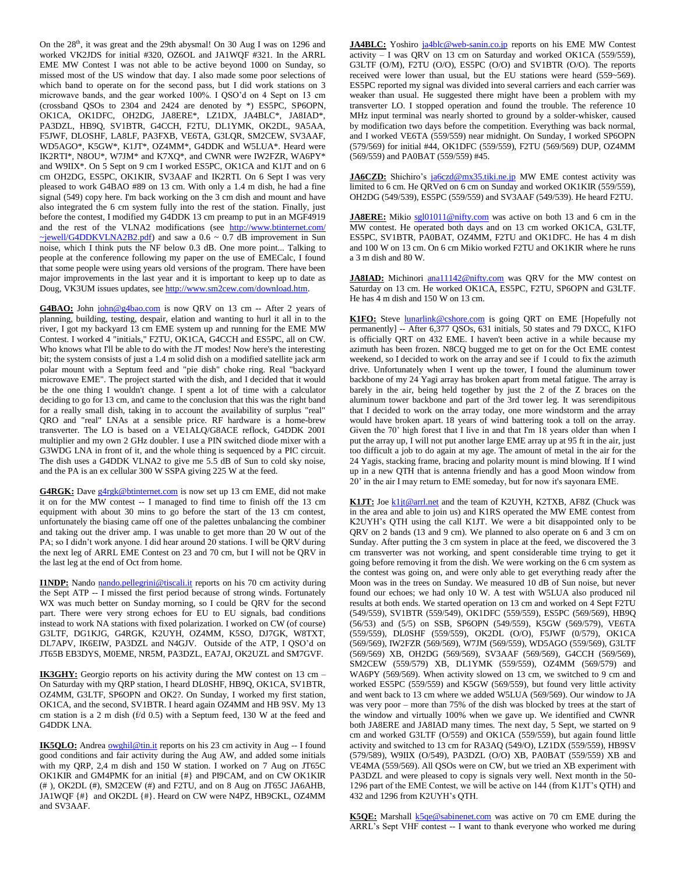On the 28<sup>th</sup>, it was great and the 29th abysmal! On 30 Aug I was on 1296 and worked VK2JDS for initial #320, OZ6OL and JA1WQF #321. In the ARRL EME MW Contest I was not able to be active beyond 1000 on Sunday, so missed most of the US window that day. I also made some poor selections of which band to operate on for the second pass, but I did work stations on 3 microwave bands, and the gear worked 100%. I QSO'd on 4 Sept on 13 cm (crossband QSOs to 2304 and 2424 are denoted by \*) ES5PC, SP6OPN, OK1CA, OK1DFC, OH2DG, JA8ERE\*, LZ1DX, JA4BLC\*, JA8IAD\*, PA3DZL, HB9Q, SV1BTR, G4CCH, F2TU, DL1YMK, OK2DL, 9A5AA, F5JWF, DLOSHF, LA8LF, PA3FXB, VE6TA, G3LQR, SM2CEW, SV3AAF, WD5AGO\*, K5GW\*, K1JT\*, OZ4MM\*, G4DDK and W5LUA\*. Heard were IK2RTI\*, N8OU\*, W7JM\* and K7XQ\*, and CWNR were IW2FZR, WA6PY\* and W9IIX\*. On 5 Sept on 9 cm I worked ES5PC, OK1CA and K1JT and on 6 cm OH2DG, ES5PC, OK1KIR, SV3AAF and IK2RTI. On 6 Sept I was very pleased to work G4BAO #89 on 13 cm. With only a 1.4 m dish, he had a fine signal (549) copy here. I'm back working on the 3 cm dish and mount and have also integrated the 6 cm system fully into the rest of the station. Finally, just before the contest, I modified my G4DDK 13 cm preamp to put in an MGF4919 and the rest of the VLNA2 modifications (see [http://www.btinternet.com/](http://www.btinternet.com/%20~jewell/G4DDKVLNA2B2.pdf)   $\rightarrow$ jewell/G4DDKVLNA2B2.pdf) and saw a 0.6 ~ 0.7 dB improvement in Sun noise, which I think puts the NF below 0.3 dB. One more point... Talking to people at the conference following my paper on the use of EMECalc, I found that some people were using years old versions of the program. There have been major improvements in the last year and it is important to keep up to date as Doug, VK3UM issues updates, se[e http://www.sm2cew.com/download.htm.](http://www.sm2cew.com/download.htm)

G4BAO: John [john@g4bao.com](mailto:john@g4bao.com) is now QRV on 13 cm -- After 2 years of planning, building, testing, despair, elation and wanting to hurl it all in to the river, I got my backyard 13 cm EME system up and running for the EME MW Contest. I worked 4 "initials," F2TU, OK1CA, G4CCH and ES5PC, all on CW. Who knows what I'll be able to do with the JT modes! Now here's the interesting bit; the system consists of just a 1.4 m solid dish on a modified satellite jack arm polar mount with a Septum feed and "pie dish" choke ring. Real "backyard microwave EME". The project started with the dish, and I decided that it would be the one thing I wouldn't change. I spent a lot of time with a calculator deciding to go for 13 cm, and came to the conclusion that this was the right band for a really small dish, taking in to account the availability of surplus "real" QRO and "real" LNAs at a sensible price. RF hardware is a home-brew transverter. The LO is based on a VE1ALQ/G8ACE reflock, G4DDK 2001 multiplier and my own 2 GHz doubler. I use a PIN switched diode mixer with a G3WDG LNA in front of it, and the whole thing is sequenced by a PIC circuit. The dish uses a G4DDK VLNA2 to give me 5.5 dB of Sun to cold sky noise, and the PA is an ex cellular 300 W SSPA giving 225 W at the feed.

G4RGK: Dav[e g4rgk@btinternet.com](mailto:g4rgk@btinternet.com) is now set up 13 cm EME, did not make it on for the MW contest -- I managed to find time to finish off the 13 cm equipment with about 30 mins to go before the start of the 13 cm contest, unfortunately the biasing came off one of the palettes unbalancing the combiner and taking out the driver amp. I was unable to get more than 20 W out of the PA; so I didn't work anyone. I did hear around 20 stations. I will be QRV during the next leg of ARRL EME Contest on 23 and 70 cm, but I will not be QRV in the last leg at the end of Oct from home.

**I1NDP:** Nando [nando.pellegrini@tiscali.it](mailto:nando.pellegrini@tiscali.it) reports on his 70 cm activity during the Sept ATP -- I missed the first period because of strong winds. Fortunately WX was much better on Sunday morning, so I could be ORV for the second part. There were very strong echoes for EU to EU signals, bad conditions instead to work NA stations with fixed polarization. I worked on CW (of course) G3LTF, DG1KJG, G4RGK, K2UYH, OZ4MM, K5SO, DJ7GK, W8TXT, DL7APV, IK6EIW, PA3DZL and N4GJV. Outside of the ATP, I QSO'd on JT65B EB3DYS, M0EME, NR5M, PA3DZL, EA7AJ, OK2UZL and SM7GVF.

**IK3GHY:** Georgio reports on his activity during the MW contest on 13 cm – On Saturday with my QRP station, I heard DL0SHF, HB9Q, OK1CA, SV1BTR, OZ4MM, G3LTF, SP6OPN and OK2?. On Sunday, I worked my first station, OK1CA, and the second, SV1BTR. I heard again OZ4MM and HB 9SV. My 13 cm station is a 2 m dish (f/d 0.5) with a Septum feed, 130 W at the feed and G4DDK LNA.

**IK5QLO:** Andrea **owghil@tin.it** reports on his 23 cm activity in Aug -- I found good conditions and fair activity during the Aug AW, and added some initials with my QRP, 2,4 m dish and 150 W station. I worked on 7 Aug on JT65C OK1KIR and GM4PMK for an initial {#} and PI9CAM, and on CW OK1KIR (# ), OK2DL (#), SM2CEW (#) and F2TU, and on 8 Aug on JT65C JA6AHB, JA1WQF {#} and OK2DL {#}. Heard on CW were N4PZ, HB9CKL, OZ4MM and SV3AAF.

**JA4BLC:** Yoshiro [ja4blc@web-sanin.co.jp](mailto:ja4blc@web-sanin.co.jp) reports on his EME MW Contest activity – I was QRV on 13 cm on Saturday and worked OK1CA (559/559), G3LTF (O/M), F2TU (O/O), ES5PC (O/O) and SV1BTR (O/O). The reports received were lower than usual, but the EU stations were heard (559~569). ES5PC reported my signal was divided into several carriers and each carrier was weaker than usual. He suggested there might have been a problem with my transverter LO. I stopped operation and found the trouble. The reference 10 MHz input terminal was nearly shorted to ground by a solder-whisker, caused by modification two days before the competition. Everything was back normal, and I worked VE6TA (559/559) near midnight. On Sunday, I worked SP6OPN (579/569) for initial #44, OK1DFC (559/559), F2TU (569/569) DUP, OZ4MM (569/559) and PA0BAT (559/559) #45.

**JA6CZD:** Shichiro's [ja6czd@mx35.tiki.ne.jp](mailto:ja6czd@mx35.tiki.ne.jp) MW EME contest activity was limited to 6 cm. He QRVed on 6 cm on Sunday and worked OK1KIR (559/559), OH2DG (549/539), ES5PC (559/559) and SV3AAF (549/539). He heard F2TU.

**JA8ERE:** Mikio [sgl01011@nifty.com](mailto:sgl01011@nifty.com) was active on both 13 and 6 cm in the MW contest. He operated both days and on 13 cm worked OK1CA, G3LTF, ES5PC, SV1BTR, PA0BAT, OZ4MM, F2TU and OK1DFC. He has 4 m dish and 100 W on 13 cm. On 6 cm Mikio worked F2TU and OK1KIR where he runs a 3 m dish and 80 W.

**JA8IAD:** Michinori [ana11142@nifty.com](mailto:ana11142@nifty.com) was QRV for the MW contest on Saturday on 13 cm. He worked OK1CA, ES5PC, F2TU, SP6OPN and G3LTF. He has 4 m dish and 150 W on 13 cm.

K1FO: Steve **lunarlink@cshore.com** is going QRT on EME [Hopefully not permanently] -- After 6,377 QSOs, 631 initials, 50 states and 79 DXCC, K1FO is officially QRT on 432 EME. I haven't been active in a while because my azimuth has been frozen. N8CQ bugged me to get on for the Oct EME contest weekend, so I decided to work on the array and see if I could to fix the azimuth drive. Unfortunately when I went up the tower, I found the aluminum tower backbone of my 24 Yagi array has broken apart from metal fatigue. The array is barely in the air, being held together by just the 2 of the Z braces on the aluminum tower backbone and part of the 3rd tower leg. It was serendipitous that I decided to work on the array today, one more windstorm and the array would have broken apart. 18 years of wind battering took a toll on the array. Given the 70' high forest that I live in and that I'm 18 years older than when I put the array up, I will not put another large EME array up at 95 ft in the air, just too difficult a job to do again at my age. The amount of metal in the air for the 24 Yagis, stacking frame, bracing and polarity mount is mind blowing. If I wind up in a new QTH that is antenna friendly and has a good Moon window from 20' in the air I may return to EME someday, but for now it's sayonara EME.

K1JT: Joe [k1jt@arrl.net](mailto:k1jt@arrl.net) and the team of K2UYH, K2TXB, AF8Z (Chuck was in the area and able to join us) and K1RS operated the MW EME contest from K2UYH's QTH using the call K1JT. We were a bit disappointed only to be QRV on 2 bands (13 and 9 cm). We planned to also operate on 6 and 3 cm on Sunday. After putting the 3 cm system in place at the feed, we discovered the 3 cm transverter was not working, and spent considerable time trying to get it going before removing it from the dish. We were working on the 6 cm system as the contest was going on, and were only able to get everything ready after the Moon was in the trees on Sunday. We measured 10 dB of Sun noise, but never found our echoes; we had only 10 W. A test with W5LUA also produced nil results at both ends. We started operation on 13 cm and worked on 4 Sept F2TU (549/559), SV1BTR (559/549), OK1DFC (559/559), ES5PC (569/569), HB9Q (56/53) and (5/5) on SSB, SP6OPN (549/559), K5GW (569/579), VE6TA (559/559), DL0SHF (559/559), OK2DL (O/O), F5JWF (0/579), OK1CA (569/569), IW2FZR (569/569), W7JM (569/559), WD5AGO (559/569), G3LTF (569/569) XB, OH2DG (569/569), SV3AAF (569/569), G4CCH (569/569), SM2CEW (559/579) XB, DL1YMK (559/559), OZ4MM (569/579) and WA6PY (569/569). When activity slowed on 13 cm, we switched to 9 cm and worked ES5PC (559/559) and K5GW (569/559), but found very little activity and went back to 13 cm where we added W5LUA (569/569). Our window to JA was very poor – more than 75% of the dish was blocked by trees at the start of the window and virtually 100% when we gave up. We identified and CWNR both JA8ERE and JA8IAD many times. The next day, 5 Sept, we started on 9 cm and worked G3LTF (O/559) and OK1CA (559/559), but again found little activity and switched to 13 cm for RA3AQ (549/O), LZ1DX (559/559), HB9SV (579/589), W9IIX (O/549), PA3DZL (O/O) XB, PA0BAT (559/559) XB and VE4MA (559/569). All QSOs were on CW, but we tried an XB experiment with PA3DZL and were pleased to copy is signals very well. Next month in the 50- 1296 part of the EME Contest, we will be active on 144 (from K1JT's QTH) and 432 and 1296 from K2UYH's QTH.

K5QE: Marshall **K5qe@sabinenet.com** was active on 70 cm EME during the ARRL's Sept VHF contest -- I want to thank everyone who worked me during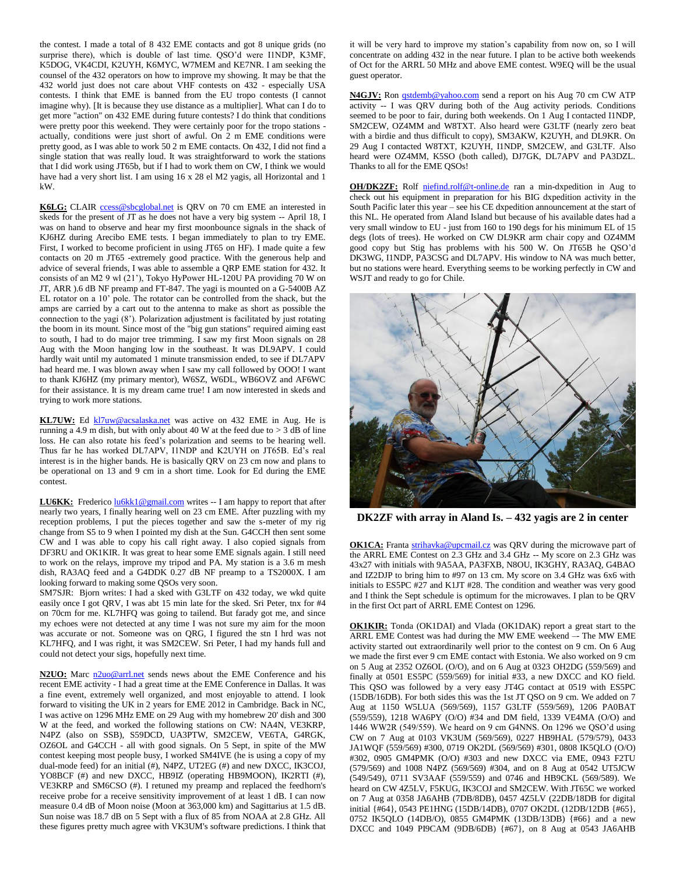the contest. I made a total of 8 432 EME contacts and got 8 unique grids (no surprise there), which is double of last time. QSO'd were I1NDP, K3MF, K5DOG, VK4CDI, K2UYH, K6MYC, W7MEM and KE7NR. I am seeking the counsel of the 432 operators on how to improve my showing. It may be that the 432 world just does not care about VHF contests on 432 - especially USA contests. I think that EME is banned from the EU tropo contests (I cannot imagine why). [It is because they use distance as a multiplier]. What can I do to get more "action" on 432 EME during future contests? I do think that conditions were pretty poor this weekend. They were certainly poor for the tropo stations actually, conditions were just short of awful. On 2 m EME conditions were pretty good, as I was able to work 50 2 m EME contacts. On 432, I did not find a single station that was really loud. It was straightforward to work the stations that I did work using JT65b, but if I had to work them on CW, I think we would have had a very short list. I am using 16 x 28 el M2 yagis, all Horizontal and 1 kW.

K6LG: CLAIR [ccess@sbcglobal.net](mailto:ccess@sbcglobal.net) is QRV on 70 cm EME an interested in skeds for the present of JT as he does not have a very big system -- April 18, I was on hand to observe and hear my first moonbounce signals in the shack of KJ6HZ during Arecibo EME tests. I began immediately to plan to try EME. First, I worked to become proficient in using JT65 on HF). I made quite a few contacts on 20 m JT65 -extremely good practice. With the generous help and advice of several friends, I was able to assemble a QRP EME station for 432. It consists of an M2 9 wl (21'), Tokyo HyPower HL-120U PA providing 70 W on JT, ARR ).6 dB NF preamp and FT-847. The yagi is mounted on a G-5400B AZ EL rotator on a 10' pole. The rotator can be controlled from the shack, but the amps are carried by a cart out to the antenna to make as short as possible the connection to the yagi (8'). Polarization adjustment is facilitated by just rotating the boom in its mount. Since most of the "big gun stations" required aiming east to south, I had to do major tree trimming. I saw my first Moon signals on 28 Aug with the Moon hanging low in the southeast. It was DL9APV. I could hardly wait until my automated 1 minute transmission ended, to see if DL7APV had heard me. I was blown away when I saw my call followed by OOO! I want to thank KJ6HZ (my primary mentor), W6SZ, W6DL, WB6OVZ and AF6WC for their assistance. It is my dream came true! I am now interested in skeds and trying to work more stations.

KL7UW: Ed [kl7uw@acsalaska.net](mailto:kl7uw@acsalaska.net) was active on 432 EME in Aug. He is running a 4.9 m dish, but with only about 40 W at the feed due to  $> 3$  dB of line loss. He can also rotate his feed's polarization and seems to be hearing well. Thus far he has worked DL7APV, I1NDP and K2UYH on JT65B. Ed's real interest is in the higher bands. He is basically QRV on 23 cm now and plans to be operational on 13 and 9 cm in a short time. Look for Ed during the EME contest.

LU6KK: Frederic[o lu6kk1@gmail.com](mailto:lu6kk1@gmail.com) writes -- I am happy to report that after nearly two years, I finally hearing well on 23 cm EME. After puzzling with my reception problems, I put the pieces together and saw the s-meter of my rig change from S5 to 9 when I pointed my dish at the Sun. G4CCH then sent some CW and I was able to copy his call right away. I also copied signals from DF3RU and OK1KIR. It was great to hear some EME signals again. I still need to work on the relays, improve my tripod and PA. My station is a 3.6 m mesh dish, RA3AQ feed and a G4DDK 0.27 dB NF preamp to a TS2000X. I am looking forward to making some QSOs very soon.

SM7SJR: Bjorn writes: I had a sked with G3LTF on 432 today, we wkd quite easily once I got QRV, I was abt 15 min late for the sked. Sri Peter, tnx for #4 on 70cm for me. KL7HFQ was going to tailend. But farady got me, and since my echoes were not detected at any time I was not sure my aim for the moon was accurate or not. Someone was on QRG, I figured the stn I hrd was not KL7HFQ, and I was right, it was SM2CEW. Sri Peter, I had my hands full and could not detect your sigs, hopefully next time.

**N2UO:** Marc  $n2u0@arrl.net$  sends news about the EME Conference and his recent EME activity - I had a great time at the EME Conference in Dallas. It was a fine event, extremely well organized, and most enjoyable to attend. I look forward to visiting the UK in 2 years for EME 2012 in Cambridge. Back in NC, I was active on 1296 MHz EME on 29 Aug with my homebrew 20' dish and 300 W at the feed, and worked the following stations on CW: NA4N, VE3KRP, N4PZ (also on SSB), S59DCD, UA3PTW, SM2CEW, VE6TA, G4RGK, OZ6OL and G4CCH - all with good signals. On 5 Sept, in spite of the MW contest keeping most people busy, I worked SM4IVE (he is using a copy of my dual-mode feed) for an initial (#), N4PZ, UT2EG (#) and new DXCC, IK3COJ, YO8BCF (#) and new DXCC, HB9IZ (operating HB9MOON), IK2RTI (#), VE3KRP and SM6CSO (#). I retuned my preamp and replaced the feedhorn's receive probe for a receive sensitivity improvement of at least 1 dB. I can now measure 0.4 dB of Moon noise (Moon at 363,000 km) and Sagittarius at 1.5 dB. Sun noise was 18.7 dB on 5 Sept with a flux of 85 from NOAA at 2.8 GHz. All these figures pretty much agree with VK3UM's software predictions. I think that it will be very hard to improve my station's capability from now on, so I will concentrate on adding 432 in the near future. I plan to be active both weekends of Oct for the ARRL 50 MHz and above EME contest. W9EQ will be the usual guest operator.

N4GJV: Ron **qstdemb@yahoo.com** send a report on his Aug 70 cm CW ATP activity -- I was QRV during both of the Aug activity periods. Conditions seemed to be poor to fair, during both weekends. On 1 Aug I contacted I1NDP, SM2CEW, OZ4MM and W8TXT. Also heard were G3LTF (nearly zero beat with a birdie and thus difficult to copy), SM3AKW, K2UYH, and DL9KR. On 29 Aug I contacted W8TXT, K2UYH, I1NDP, SM2CEW, and G3LTF. Also heard were OZ4MM, K5SO (both called), DJ7GK, DL7APV and PA3DZL. Thanks to all for the EME QSOs!

**OH/DK2ZF:** Rolf [niefind.rolf@t-online.de](mailto:niefind.rolf@t-online.de) ran a min-dxpedition in Aug to check out his equipment in preparation for his BIG dxpedition activity in the South Pacific later this year – see his CE dxpedition announcement at the start of this NL. He operated from Aland Island but because of his available dates had a very small window to EU - just from 160 to 190 degs for his minimum EL of 15 degs (lots of trees). He worked on CW DL9KR arm chair copy and OZ4MM good copy but Stig has problems with his 500 W. On JT65B he QSO'd DK3WG, I1NDP, PA3CSG and DL7APV. His window to NA was much better, but no stations were heard. Everything seems to be working perfectly in CW and WSJT and ready to go for Chile.



**DK2ZF with array in Aland Is. – 432 yagis are 2 in center**

**OK1CA:** Franta [strihavka@upcmail.cz](mailto:strihavka@upcmail.cz) was QRV during the microwave part of the ARRL EME Contest on 2.3 GHz and 3.4 GHz -- My score on 2.3 GHz was 43x27 with initials with 9A5AA, PA3FXB, N8OU, IK3GHY, RA3AQ, G4BAO and IZ2DJP to bring him to #97 on 13 cm. My score on 3.4 GHz was 6x6 with initials to ES5PC #27 and K1JT #28. The condition and weather was very good and I think the Sept schedule is optimum for the microwaves. I plan to be QRV in the first Oct part of ARRL EME Contest on 1296.

**OK1KIR:** Tonda (OK1DAI) and Vlada (OK1DAK) report a great start to the ARRL EME Contest was had during the MW EME weekend -- The MW EME activity started out extraordinarily well prior to the contest on 9 cm. On 6 Aug we made the first ever 9 cm EME contact with Estonia. We also worked on 9 cm on 5 Aug at 2352 OZ6OL (O/O), and on 6 Aug at 0323 OH2DG (559/569) and finally at 0501 ES5PC (559/569) for initial #33, a new DXCC and KO field. This QSO was followed by a very easy JT4G contact at 0519 with ES5PC (15DB/16DB). For both sides this was the 1st JT QSO on 9 cm. We added on 7 Aug at 1150 W5LUA (569/569), 1157 G3LTF (559/569), 1206 PA0BAT (559/559), 1218 WA6PY (O/O) #34 and DM field, 1339 VE4MA (O/O) and 1446 WW2R (549/559). We heard on 9 cm G4NNS. On 1296 we QSO'd using CW on 7 Aug at 0103 VK3UM (569/569), 0227 HB9HAL (579/579), 0433 JA1WQF (559/569) #300, 0719 OK2DL (569/569) #301, 0808 IK5QLO (O/O) #302, 0905 GM4PMK (O/O) #303 and new DXCC via EME, 0943 F2TU (579/569) and 1008 N4PZ (569/569) #304, and on 8 Aug at 0542 UT5JCW (549/549), 0711 SV3AAF (559/559) and 0746 and HB9CKL (569/589). We heard on CW 4Z5LV, F5KUG, IK3COJ and SM2CEW. With JT65C we worked on 7 Aug at 0358 JA6AHB (7DB/8DB), 0457 4Z5LV (22DB/18DB for digital initial {#64}, 0543 PE1HNG (15DB/14DB), 0707 OK2DL (12DB/12DB {#65}, 0752 IK5QLO (14DB/O), 0855 GM4PMK (13DB/13DB) {#66} and a new DXCC and 1049 PI9CAM (9DB/6DB) {#67}, on 8 Aug at 0543 JA6AHB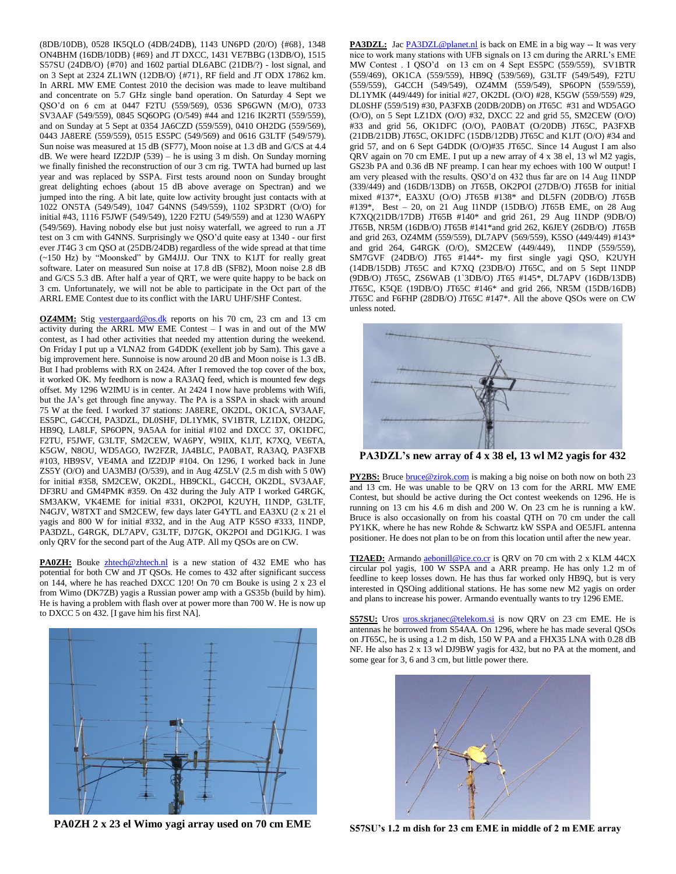(8DB/10DB), 0528 IK5QLO (4DB/24DB), 1143 UN6PD (20/O) {#68}, 1348 ON4BHM (16DB/10DB) {#69} and JT DXCC, 1431 VE7BBG (13DB/O), 1515 S57SU (24DB/O) {#70} and 1602 partial DL6ABC (21DB/?) - lost signal, and on 3 Sept at 2324 ZL1WN (12DB/O) {#71}, RF field and JT ODX 17862 km. In ARRL MW EME Contest 2010 the decision was made to leave multiband and concentrate on 5.7 GHz single band operation. On Saturday 4 Sept we QSO'd on 6 cm at 0447 F2TU (559/569), 0536 SP6GWN (M/O), 0733 SV3AAF (549/559), 0845 SQ6OPG (O/549) #44 and 1216 IK2RTI (559/559), and on Sunday at 5 Sept at 0354 JA6CZD (559/559), 0410 OH2DG (559/569), 0443 JA8ERE (559/559), 0515 ES5PC (549/569) and 0616 G3LTF (549/579). Sun noise was measured at 15 dB (SF77), Moon noise at 1.3 dB and G/CS at 4.4 dB. We were heard IZ2DJP (539) – he is using 3 m dish. On Sunday morning we finally finished the reconstruction of our 3 cm rig. TWTA had burned up last year and was replaced by SSPA. First tests around noon on Sunday brought great delighting echoes (about 15 dB above average on Spectran) and we jumped into the ring. A bit late, quite low activity brought just contacts with at 1022 ON5TA (549/549), 1047 G4NNS (549/559), 1102 SP3DRT (O/O) for initial #43, 1116 F5JWF (549/549), 1220 F2TU (549/559) and at 1230 WA6PY (549/569). Having nobody else but just noisy waterfall, we agreed to run a JT test on 3 cm with G4NNS. Surprisingly we QSO'd quite easy at 1340 - our first ever JT4G 3 cm QSO at (25DB/24DB) regardless of the wide spread at that time (~150 Hz) by "Moonsked" by GM4JJJ. Our TNX to K1JT for really great software. Later on measured Sun noise at 17.8 dB (SF82), Moon noise 2.8 dB and G/CS 5.3 dB. After half a year of QRT, we were quite happy to be back on 3 cm. Unfortunately, we will not be able to participate in the Oct part of the ARRL EME Contest due to its conflict with the IARU UHF/SHF Contest.

**OZ4MM:** Stig [vestergaard@os.dk](mailto:vestergaard@os.dk) reports on his 70 cm, 23 cm and 13 cm activity during the ARRL MW EME Contest – I was in and out of the MW contest, as I had other activities that needed my attention during the weekend. On Friday I put up a VLNA2 from G4DDK (exellent job by Sam). This gave a big improvement here. Sunnoise is now around 20 dB and Moon noise is 1.3 dB. But I had problems with RX on 2424. After I removed the top cover of the box, it worked OK. My feedhorn is now a RA3AQ feed, which is mounted few degs offset. My 1296 W2IMU is in center. At 2424 I now have problems with Wifi, but the JA's get through fine anyway. The PA is a SSPA in shack with around 75 W at the feed. I worked 37 stations: JA8ERE, OK2DL, OK1CA, SV3AAF, ES5PC, G4CCH, PA3DZL, DL0SHF, DL1YMK, SV1BTR, LZ1DX, OH2DG, HB9Q, LA8LF, SP6OPN, 9A5AA for initial #102 and DXCC 37, OK1DFC, F2TU, F5JWF, G3LTF, SM2CEW, WA6PY, W9IIX, K1JT, K7XQ, VE6TA, K5GW, N8OU, WD5AGO, IW2FZR, JA4BLC, PA0BAT, RA3AQ, PA3FXB #103, HB9SV, VE4MA and IZ2DJP #104. On 1296, I worked back in June ZS5Y (O/O) and UA3MBJ (O/539), and in Aug 4Z5LV (2.5 m dish with 5 0W) for initial #358, SM2CEW, OK2DL, HB9CKL, G4CCH, OK2DL, SV3AAF, DF3RU and GM4PMK #359. On 432 during the July ATP I worked G4RGK, SM3AKW, VK4EME for initial #331, OK2POI, K2UYH, I1NDP, G3LTF, N4GJV, W8TXT and SM2CEW, few days later G4YTL and EA3XU (2 x 21 el yagis and 800 W for initial #332, and in the Aug ATP K5SO #333, I1NDP, PA3DZL, G4RGK, DL7APV, G3LTF, DJ7GK, OK2POI and DG1KJG. I was only QRV for the second part of the Aug ATP. All my QSOs are on CW.

PA0ZH: Bouke [zhtech@zhtech.nl](mailto:zhtech@zhtech.nl) is a new station of 432 EME who has potential for both CW and JT QSOs. He comes to 432 after significant success on 144, where he has reached DXCC 120! On 70 cm Bouke is using 2 x 23 el from Wimo (DK7ZB) yagis a Russian power amp with a GS35b (build by him). He is having a problem with flash over at power more than 700 W. He is now up to DXCC 5 on 432. [I gave him his first NA].



**PA0ZH 2 x 23 el Wimo yagi array used on 70 cm EME**

**PA3DZL:** Jac **PA3DZL@planet.nl** is back on EME in a big way -- It was very nice to work many stations with UFB signals on 13 cm during the ARRL's EME MW Contest . I QSO'd on 13 cm on 4 Sept ES5PC (559/559), SV1BTR (559/469), OK1CA (559/559), HB9Q (539/569), G3LTF (549/549), F2TU (559/559), G4CCH (549/549), OZ4MM (559/549), SP6OPN (559/559), DL1YMK (449/449) for initial #27, OK2DL (O/O) #28, K5GW (559/559) #29, DL0SHF (559/519) #30, PA3FXB (20DB/20DB) on JT65C #31 and WD5AGO (O/O), on 5 Sept LZ1DX (O/O) #32, DXCC 22 and grid 55, SM2CEW (O/O) #33 and grid 56, OK1DFC (O/O), PA0BAT (O/20DB) JT65C, PA3FXB (21DB/21DB) JT65C, OK1DFC (15DB/12DB) JT65C and K1JT (O/O) #34 and grid 57, and on 6 Sept G4DDK (O/O)#35 JT65C. Since 14 August I am also QRV again on 70 cm EME. I put up a new array of 4 x 38 el, 13 wl M2 yagis, GS23b PA and 0.36 dB NF preamp. I can hear my echoes with 100 W output! I am very pleased with the results. QSO'd on 432 thus far are on 14 Aug I1NDP (339/449) and (16DB/13DB) on JT65B, OK2POI (27DB/O) JT65B for initial mixed #137\*, EA3XU (O/O) JT65B #138\* and DL5FN (20DB/O) JT65B #139\*, Best – 20, on 21 Aug I1NDP (15DB/O) JT65B EME, on 28 Aug K7XQ(21DB/17DB) JT65B #140\* and grid 261, 29 Aug I1NDP (9DB/O) JT65B, NR5M (16DB/O) JT65B #141\*and grid 262, K6JEY (26DB/O) JT65B and grid 263, OZ4MM (559/559), DL7APV (569/559), K5SO (449/449) #143\* and grid 264, G4RGK (O/O), SM2CEW (449/449), I1NDP (559/559), SM7GVF (24DB/O) JT65 #144\*- my first single yagi QSO, K2UYH (14DB/15DB) JT65C and K7XQ (23DB/O) JT65C, and on 5 Sept I1NDP (9DB/O) JT65C, ZS6WAB (1`3DB/O) JT65 #145\*, DL7APV (16DB/13DB) JT65C, K5QE (19DB/O) JT65C #146\* and grid 266, NR5M (15DB/16DB) JT65C and F6FHP (28DB/O) JT65C #147\*. All the above QSOs were on CW unless noted.



**PA3DZL's new array of 4 x 38 el, 13 wl M2 yagis for 432**

**PY2BS:** Bruce **bruce@zirok.com** is making a big noise on both now on both 23 and 13 cm. He was unable to be QRV on 13 com for the ARRL MW EME Contest, but should be active during the Oct contest weekends on 1296. He is running on 13 cm his 4.6 m dish and 200 W. On 23 cm he is running a kW. Bruce is also occasionally on from his coastal QTH on 70 cm under the call PY1KK, where he has new Rohde & Schwartz kW SSPA and OE5JFL antenna positioner. He does not plan to be on from this location until after the new year.

TI2AED: Armando [aebonill@ice.co.cr](mailto:aebonill@ice.co.cr) is QRV on 70 cm with 2 x KLM 44CX circular pol yagis, 100 W SSPA and a ARR preamp. He has only 1.2 m of feedline to keep losses down. He has thus far worked only HB9Q, but is very interested in QSOing additional stations. He has some new M2 yagis on order and plans to increase his power. Armando eventually wants to try 1296 EME.

**S57SU:** Uros [uros.skrjanec@telekom.si](mailto:uros.skrjanec@telekom.si) is now QRV on 23 cm EME. He is antennas he borrowed from S54AA. On 1296, where he has made several QSOs on JT65C, he is using a 1.2 m dish, 150 W PA and a FHX35 LNA with 0.28 dB NF. He also has 2 x 13 wl DJ9BW yagis for 432, but no PA at the moment, and some gear for 3, 6 and 3 cm, but little power there.



**S57SU's 1.2 m dish for 23 cm EME in middle of 2 m EME array**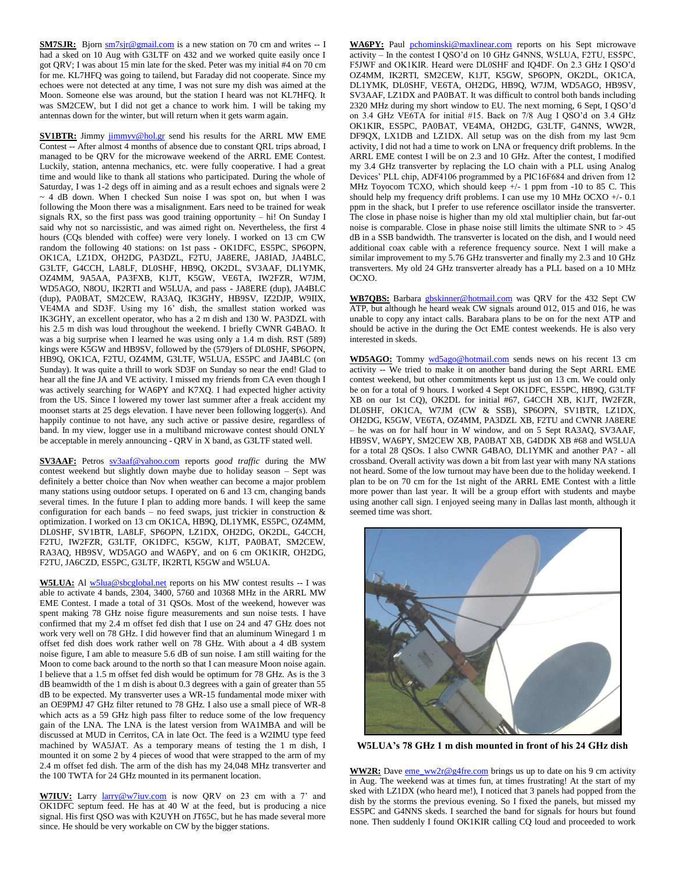**SM7SJR:** Bjorn  $\frac{\text{sm7sjr@gmail.com}}{\text{sm3r}}$  is a new station on 70 cm and writes -- I had a sked on 10 Aug with G3LTF on 432 and we worked quite easily once I got QRV; I was about 15 min late for the sked. Peter was my initial #4 on 70 cm for me. KL7HFQ was going to tailend, but Faraday did not cooperate. Since my echoes were not detected at any time, I was not sure my dish was aimed at the Moon. Someone else was around, but the station I heard was not KL7HFQ. It was SM2CEW, but I did not get a chance to work him. I will be taking my antennas down for the winter, but will return when it gets warm again.

**SV1BTR:** Jimmy [jimmyv@hol.gr](mailto:jimmyv@hol.gr) send his results for the ARRL MW EME Contest -- After almost 4 months of absence due to constant QRL trips abroad, I managed to be QRV for the microwave weekend of the ARRL EME Contest. Luckily, station, antenna mechanics, etc. were fully cooperative. I had a great time and would like to thank all stations who participated. During the whole of Saturday, I was 1-2 degs off in aiming and as a result echoes and signals were 2  $\sim$  4 dB down. When I checked Sun noise I was spot on, but when I was following the Moon there was a misalignment. Ears need to be trained for weak signals RX, so the first pass was good training opportunity – hi! On Sunday I said why not so narcissistic, and was aimed right on. Nevertheless, the first 4 hours (CQs blended with coffee) were very lonely. I worked on 13 cm CW random the following 40 stations: on 1st pass - OK1DFC, ES5PC, SP6OPN, OK1CA, LZ1DX, OH2DG, PA3DZL, F2TU, JA8ERE, JA8IAD, JA4BLC, G3LTF, G4CCH, LA8LF, DL0SHF, HB9Q, OK2DL, SV3AAF, DL1YMK, OZ4MM, 9A5AA, PA3FXB, K1JT, K5GW, VE6TA, IW2FZR, W7JM, WD5AGO, N8OU, IK2RTI and W5LUA, and pass - JA8ERE (dup), JA4BLC (dup), PA0BAT, SM2CEW, RA3AQ, IK3GHY, HB9SV, IZ2DJP, W9IIX, VE4MA and SD3F. Using my 16' dish, the smallest station worked was IK3GHY, an excellent operator, who has a 2 m dish and 130 W. PA3DZL with his 2.5 m dish was loud throughout the weekend. I briefly CWNR G4BAO. It was a big surprise when I learned he was using only a 1.4 m dish. RST (589) kings were K5GW and HB9SV, followed by the (579)ers of DL0SHF, SP6OPN, HB9Q, OK1CA, F2TU, OZ4MM, G3LTF, W5LUA, ES5PC and JA4BLC (on Sunday). It was quite a thrill to work SD3F on Sunday so near the end! Glad to hear all the fine JA and VE activity. I missed my friends from CA even though I was actively searching for WA6PY and K7XQ. I had expected higher activity from the US. Since I lowered my tower last summer after a freak accident my moonset starts at 25 degs elevation. I have never been following logger(s). And happily continue to not have, any such active or passive desire, regardless of band. In my view, logger use in a multiband microwave contest should ONLY be acceptable in merely announcing - QRV in X band, as G3LTF stated well.

**SV3AAF:** Petros [sv3aaf@yahoo.com](mailto:sv3aaf@yahoo.com) reports *good traffic* during the MW contest weekend but slightly down maybe due to holiday season – Sept was definitely a better choice than Nov when weather can become a major problem many stations using outdoor setups. I operated on 6 and 13 cm, changing bands several times. In the future I plan to adding more bands. I will keep the same configuration for each bands – no feed swaps, just trickier in construction  $\&$ optimization. I worked on 13 cm OK1CA, HB9Q, DL1YMK, ES5PC, OZ4MM, DL0SHF, SV1BTR, LA8LF, SP6OPN, LZ1DX, OH2DG, OK2DL, G4CCH, F2TU, IW2FZR, G3LTF, OK1DFC, K5GW, K1JT, PA0BAT, SM2CEW, RA3AQ, HB9SV, WD5AGO and WA6PY, and on 6 cm OK1KIR, OH2DG, F2TU, JA6CZD, ES5PC, G3LTF, IK2RTI, K5GW and W5LUA.

W5LUA: Al [w5lua@sbcglobal.net](mailto:w5lua@sbcglobal.net) reports on his MW contest results -- I was able to activate 4 bands, 2304, 3400, 5760 and 10368 MHz in the ARRL MW EME Contest. I made a total of 31 QSOs. Most of the weekend, however was spent making 78 GHz noise figure measurements and sun noise tests. I have confirmed that my 2.4 m offset fed dish that I use on 24 and 47 GHz does not work very well on 78 GHz. I did however find that an aluminum Winegard 1 m offset fed dish does work rather well on 78 GHz. With about a 4 dB system noise figure, I am able to measure 5.6 dB of sun noise. I am still waiting for the Moon to come back around to the north so that I can measure Moon noise again. I believe that a 1.5 m offset fed dish would be optimum for 78 GHz. As is the 3 dB beamwidth of the 1 m dish is about 0.3 degrees with a gain of greater than 55 dB to be expected. My transverter uses a WR-15 fundamental mode mixer with an OE9PMJ 47 GHz filter retuned to 78 GHz. I also use a small piece of WR-8 which acts as a 59 GHz high pass filter to reduce some of the low frequency gain of the LNA. The LNA is the latest version from WA1MBA and will be discussed at MUD in Cerritos, CA in late Oct. The feed is a W2IMU type feed machined by WA5JAT. As a temporary means of testing the 1 m dish, I mounted it on some 2 by 4 pieces of wood that were strapped to the arm of my 2.4 m offset fed dish. The arm of the dish has my 24,048 MHz transverter and the 100 TWTA for 24 GHz mounted in its permanent location.

**W7IUV:** Larry [larry@w7iuv.com](mailto:larry@w7iuv.com) is now QRV on 23 cm with a 7' and OK1DFC septum feed. He has at 40 W at the feed, but is producing a nice signal. His first QSO was with K2UYH on JT65C, but he has made several more since. He should be very workable on CW by the bigger stations.

WA6PY: Paul [pchominski@maxlinear.com](mailto:pchominski@maxlinear.com) reports on his Sept microwave activity – In the contest I QSO'd on 10 GHz G4NNS, W5LUA, F2TU, ES5PC, F5JWF and OK1KIR. Heard were DL0SHF and IQ4DF. On 2.3 GHz I QSO'd OZ4MM, IK2RTI, SM2CEW, K1JT, K5GW, SP6OPN, OK2DL, OK1CA, DL1YMK, DL0SHF, VE6TA, OH2DG, HB9Q, W7JM, WD5AGO, HB9SV, SV3AAF, LZ1DX and PA0BAT. It was difficult to control both bands including 2320 MHz during my short window to EU. The next morning, 6 Sept, I QSO'd on 3.4 GHz VE6TA for initial #15. Back on 7/8 Aug I QSO'd on 3.4 GHz OK1KIR, ES5PC, PA0BAT, VE4MA, OH2DG, G3LTF, G4NNS, WW2R, DF9QX, LX1DB and LZ1DX. All setup was on the dish from my last 9cm activity, I did not had a time to work on LNA or frequency drift problems. In the ARRL EME contest I will be on 2.3 and 10 GHz. After the contest, I modified my 3.4 GHz transverter by replacing the LO chain with a PLL using Analog Devices' PLL chip, ADF4106 programmed by a PIC16F684 and driven from 12 MHz Toyocom TCXO, which should keep  $+/- 1$  ppm from  $-10$  to 85 C. This should help my frequency drift problems. I can use my 10 MHz OCXO +/- 0.1 ppm in the shack, but I prefer to use reference oscillator inside the transverter. The close in phase noise is higher than my old xtal multiplier chain, but far-out noise is comparable. Close in phase noise still limits the ultimate SNR to  $> 45$ dB in a SSB bandwidth. The transverter is located on the dish, and I would need additional coax cable with a reference frequency source. Next I will make a similar improvement to my 5.76 GHz transverter and finally my 2.3 and 10 GHz transverters. My old 24 GHz transverter already has a PLL based on a 10 MHz OCXO.

**WB7QBS:** Barbara [gbskinner@hotmail.com](mailto:gbskinner@hotmail.com) was QRV for the 432 Sept CW ATP, but although he heard weak CW signals around 012, 015 and 016, he was unable to copy any intact calls. Barabara plans to be on for the next ATP and should be active in the during the Oct EME contest weekends. He is also very interested in skeds.

**WD5AGO:** Tommy [wd5ago@hotmail.com](mailto:wd5ago@hotmail.com) sends news on his recent 13 cm activity -- We tried to make it on another band during the Sept ARRL EME contest weekend, but other commitments kept us just on 13 cm. We could only be on for a total of 9 hours. I worked 4 Sept OK1DFC, ES5PC, HB9Q, G3LTF XB on our 1st CQ), OK2DL for initial #67, G4CCH XB, K1JT, IW2FZR, DL0SHF, OK1CA, W7JM (CW & SSB), SP6OPN, SV1BTR, LZ1DX, OH2DG, K5GW, VE6TA, OZ4MM, PA3DZL XB, F2TU and CWNR JA8ERE – he was on for half hour in W window, and on 5 Sept RA3AQ, SV3AAF, HB9SV, WA6PY, SM2CEW XB, PA0BAT XB, G4DDK XB #68 and W5LUA for a total 28 QSOs. I also CWNR G4BAO, DL1YMK and another PA? - all crossband. Overall activity was down a bit from last year with many NA stations not heard. Some of the low turnout may have been due to the holiday weekend. I plan to be on 70 cm for the 1st night of the ARRL EME Contest with a little more power than last year. It will be a group effort with students and maybe using another call sign. I enjoyed seeing many in Dallas last month, although it seemed time was short.



**W5LUA's 78 GHz 1 m dish mounted in front of his 24 GHz dish**

WW2R: Dave [eme\\_ww2r@g4fre.com](mailto:eme_ww2r@g4fre.com) brings us up to date on his 9 cm activity in Aug. The weekend was at times fun, at times frustrating! At the start of my sked with LZ1DX (who heard me!), I noticed that 3 panels had popped from the dish by the storms the previous evening. So I fixed the panels, but missed my ES5PC and G4NNS skeds. I searched the band for signals for hours but found none. Then suddenly I found OK1KIR calling CQ loud and proceeded to work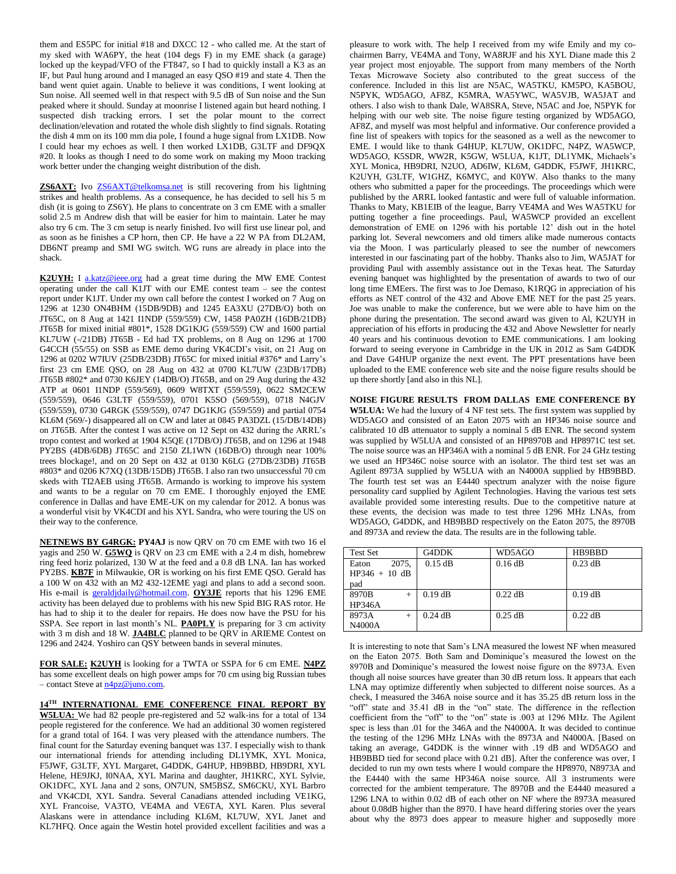them and ES5PC for initial #18 and DXCC 12 - who called me. At the start of my sked with WA6PY, the heat (104 degs F) in my EME shack (a garage) locked up the keypad/VFO of the FT847, so I had to quickly install a K3 as an IF, but Paul hung around and I managed an easy QSO #19 and state 4. Then the band went quiet again. Unable to believe it was conditions, I went looking at Sun noise. All seemed well in that respect with 9.5 dB of Sun noise and the Sun peaked where it should. Sunday at moonrise I listened again but heard nothing. I suspected dish tracking errors. I set the polar mount to the correct declination/elevation and rotated the whole dish slightly to find signals. Rotating the dish 4 mm on its 100 mm dia pole, I found a huge signal from LX1DB. Now I could hear my echoes as well. I then worked LX1DB, G3LTF and DF9QX #20. It looks as though I need to do some work on making my Moon tracking work better under the changing weight distribution of the dish.

**ZS6AXT:** Ivo [ZS6AXT@telkomsa.net](mailto:ZS6AXT@telkomsa.net) is still recovering from his lightning strikes and health problems. As a consequence, he has decided to sell his 5 m dish (it is going to ZS6Y). He plans to concentrate on 3 cm EME with a smaller solid 2.5 m Andrew dish that will be easier for him to maintain. Later he may also try 6 cm. The 3 cm setup is nearly finished. Ivo will first use linear pol, and as soon as he finishes a CP horn, then CP. He have a 22 W PA from DL2AM, DB6NT preamp and SMI WG switch. WG runs are already in place into the shack.

**K2UYH:** I [a.katz@ieee.org](mailto:a.katz@ieee.org) had a great time during the MW EME Contest operating under the call K1JT with our EME contest team – see the contest report under K1JT. Under my own call before the contest I worked on 7 Aug on 1296 at 1230 ON4BHM (15DB/9DB) and 1245 EA3XU (27DB/O) both on JT65C, on 8 Aug at 1421 I1NDP (559/559) CW, 1458 PA0ZH (16DB/21DB) JT65B for mixed initial #801\*, 1528 DG1KJG (559/559) CW and 1600 partial KL7UW (-/21DB) JT65B - Ed had TX problems, on 8 Aug on 1296 at 1700 G4CCH (55/55) on SSB as EME demo during VK4CDI's visit, on 21 Aug on 1296 at 0202 W7IUV (25DB/23DB) JT65C for mixed initial #376\* and Larry's first 23 cm EME QSO, on 28 Aug on 432 at 0700 KL7UW (23DB/17DB) JT65B #802\* and 0730 K6JEY (14DB/O) JT65B, and on 29 Aug during the 432 ATP at 0601 I1NDP (559/569), 0609 W8TXT (559/559), 0622 SM2CEW (559/559), 0646 G3LTF (559/559), 0701 K5SO (569/559), 0718 N4GJV (559/559), 0730 G4RGK (559/559), 0747 DG1KJG (559/559) and partial 0754 KL6M (569/-) disappeared all on CW and later at 0845 PA3DZL (15/DB/14DB) on JT65B. After the contest I was active on 12 Sept on 432 during the ARRL's tropo contest and worked at 1904 K5QE (17DB/O) JT65B, and on 1296 at 1948 PY2BS (4DB/6DB) JT65C and 2150 ZL1WN (16DB/O) through near 100% trees blockage!, and on 20 Sept on 432 at 0130 K6LG (27DB/23DB) JT65B #803\* and 0206 K7XQ (13DB/15DB) JT65B. I also ran two unsuccessful 70 cm skeds with TI2AEB using JT65B. Armando is working to improve his system and wants to be a regular on 70 cm EME. I thoroughly enjoyed the EME conference in Dallas and have EME-UK on my calendar for 2012. A bonus was a wonderful visit by VK4CDI and his XYL Sandra, who were touring the US on their way to the conference.

**NETNEWS BY G4RGK: PY4AJ** is now QRV on 70 cm EME with two 16 el yagis and 250 W. **G5WQ** is QRV on 23 cm EME with a 2.4 m dish, homebrew ring feed horiz polarized, 130 W at the feed and a 0.8 dB LNA. Ian has worked PY2BS. **KB7F** in Milwaukie, OR is working on his first EME QSO. Gerald has a 100 W on 432 with an M2 432-12EME yagi and plans to add a second soon. His e-mail is [geraldjdaily@hotmail.com.](mailto:geraldjdaily@hotmail.com) **OY3JE** reports that his 1296 EME activity has been delayed due to problems with his new Spid BIG RAS rotor. He has had to ship it to the dealer for repairs. He does now have the PSU for his SSPA. See report in last month's NL. **PA0PLY** is preparing for 3 cm activity with 3 m dish and 18 W. **JA4BLC** planned to be QRV in ARIEME Contest on 1296 and 2424. Yoshiro can QSY between bands in several minutes.

**FOR SALE: K2UYH** is looking for a TWTA or SSPA for 6 cm EME. **N4PZ** has some excellent deals on high power amps for 70 cm using big Russian tubes – contact Steve a[t n4pz@juno.com.](mailto:n4pz@juno.com) 

**14TH INTERNATIONAL EME CONFERENCE FINAL REPORT BY W5LUA:** We had 82 people pre-registered and 52 walk-ins for a total of 134 people registered for the conference. We had an additional 30 women registered for a grand total of 164. I was very pleased with the attendance numbers. The final count for the Saturday evening banquet was 137. I especially wish to thank our international friends for attending including DL1YMK, XYL Monica, F5JWF, G3LTF, XYL Margaret, G4DDK, G4HUP, HB9BBD, HB9DRI, XYL Helene, HE9JKJ, I0NAA, XYL Marina and daughter, JH1KRC, XYL Sylvie, OK1DFC, XYL Jana and 2 sons, ON7UN, SM5BSZ, SM6CKU, XYL Barbro and VK4CDI, XYL Sandra. Several Canadians attended including VE1KG, XYL Francoise, VA3TO, VE4MA and VE6TA, XYL Karen. Plus several Alaskans were in attendance including KL6M, KL7UW, XYL Janet and KL7HFQ. Once again the Westin hotel provided excellent facilities and was a pleasure to work with. The help I received from my wife Emily and my cochairmen Barry, VE4MA and Tony, WA8RJF and his XYL Diane made this 2 year project most enjoyable. The support from many members of the North Texas Microwave Society also contributed to the great success of the conference. Included in this list are N5AC, WA5TKU, KM5PO, KA5BOU, N5PYK, WD5AGO, AF8Z, K5MRA, WA5YWC, WA5VJB, WA5JAT and others. I also wish to thank Dale, WA8SRA, Steve, N5AC and Joe, N5PYK for helping with our web site. The noise figure testing organized by WD5AGO, AF8Z, and myself was most helpful and informative. Our conference provided a fine list of speakers with topics for the seasoned as a well as the newcomer to EME. I would like to thank G4HUP, KL7UW, OK1DFC, N4PZ, WA5WCP, WD5AGO, K5SDR, WW2R, K5GW, W5LUA, K1JT, DL1YMK, Michaels's XYL Monica, HB9DRI, N2UO, AD6IW, KL6M, G4DDK, F5JWF, JH1KRC, K2UYH, G3LTF, W1GHZ, K6MYC, and K0YW. Also thanks to the many others who submitted a paper for the proceedings. The proceedings which were published by the ARRL looked fantastic and were full of valuable information. Thanks to Maty, KB1EIB of the league, Barry VE4MA and Wes WA5TKU for putting together a fine proceedings. Paul, WA5WCP provided an excellent demonstration of EME on 1296 with his portable 12' dish out in the hotel parking lot. Several newcomers and old timers alike made numerous contacts via the Moon. I was particularly pleased to see the number of newcomers interested in our fascinating part of the hobby. Thanks also to Jim, WA5JAT for providing Paul with assembly assistance out in the Texas heat. The Saturday evening banquet was highlighted by the presentation of awards to two of our long time EMEers. The first was to Joe Demaso, K1RQG in appreciation of his efforts as NET control of the 432 and Above EME NET for the past 25 years. Joe was unable to make the conference, but we were able to have him on the phone during the presentation. The second award was given to Al, K2UYH in appreciation of his efforts in producing the 432 and Above Newsletter for nearly 40 years and his continuous devotion to EME communications. I am looking forward to seeing everyone in Cambridge in the UK in 2012 as Sam G4DDK and Dave G4HUP organize the next event. The PPT presentations have been uploaded to the EME conference web site and the noise figure results should be up there shortly [and also in this NL].

**NOISE FIGURE RESULTS FROM DALLAS EME CONFERENCE BY W5LUA:** We had the luxury of 4 NF test sets. The first system was supplied by WD5AGO and consisted of an Eaton 2075 with an HP346 noise source and calibrated 10 dB attenuator to supply a nominal 5 dB ENR. The second system was supplied by W5LUA and consisted of an HP8970B and HP8971C test set. The noise source was an HP346A with a nominal 5 dB ENR. For 24 GHz testing we used an HP346C noise source with an isolator. The third test set was an Agilent 8973A supplied by W5LUA with an N4000A supplied by HB9BBD. The fourth test set was an E4440 spectrum analyzer with the noise figure personality card supplied by Agilent Technologies. Having the various test sets available provided some interesting results. Due to the competitive nature at these events, the decision was made to test three 1296 MHz LNAs, from WD5AGO, G4DDK, and HB9BBD respectively on the Eaton 2075, the 8970B and 8973A and review the data. The results are in the following table.

| <b>Test Set</b> | G4DDK     | WD5AGO    | HB9BBD    |
|-----------------|-----------|-----------|-----------|
| 2075.<br>Eaton  | $0.15$ dB | $0.16$ dB | $0.23$ dB |
| $HP346 + 10 dB$ |           |           |           |
| pad             |           |           |           |
| 8970B           | $0.19$ dB | $0.22$ dB | $0.19$ dB |
| <b>HP346A</b>   |           |           |           |
| 8973A           | $0.24$ dB | $0.25$ dB | $0.22$ dB |
| N4000A          |           |           |           |

It is interesting to note that Sam's LNA measured the lowest NF when measured on the Eaton 2075. Both Sam and Dominique's measured the lowest on the 8970B and Dominique's measured the lowest noise figure on the 8973A. Even though all noise sources have greater than 30 dB return loss. It appears that each LNA may optimize differently when subjected to different noise sources. As a check, I measured the 346A noise source and it has 35.25 dB return loss in the "off" state and 35.41 dB in the "on" state. The difference in the reflection coefficient from the "off" to the "on" state is .003 at 1296 MHz. The Agilent spec is less than .01 for the 346A and the N4000A. It was decided to continue the testing of the 1296 MHz LNAs with the 8973A and N4000A. [Based on taking an average, G4DDK is the winner with .19 dB and WD5AGO and HB9BBD tied for second place with 0.21 dB]. After the conference was over, I decided to run my own tests where I would compare the HP8970, N8973A and the E4440 with the same HP346A noise source. All 3 instruments were corrected for the ambient temperature. The 8970B and the E4440 measured a 1296 LNA to within 0.02 dB of each other on NF where the 8973A measured about 0.08dB higher than the 8970. I have heard differing stories over the years about why the 8973 does appear to measure higher and supposedly more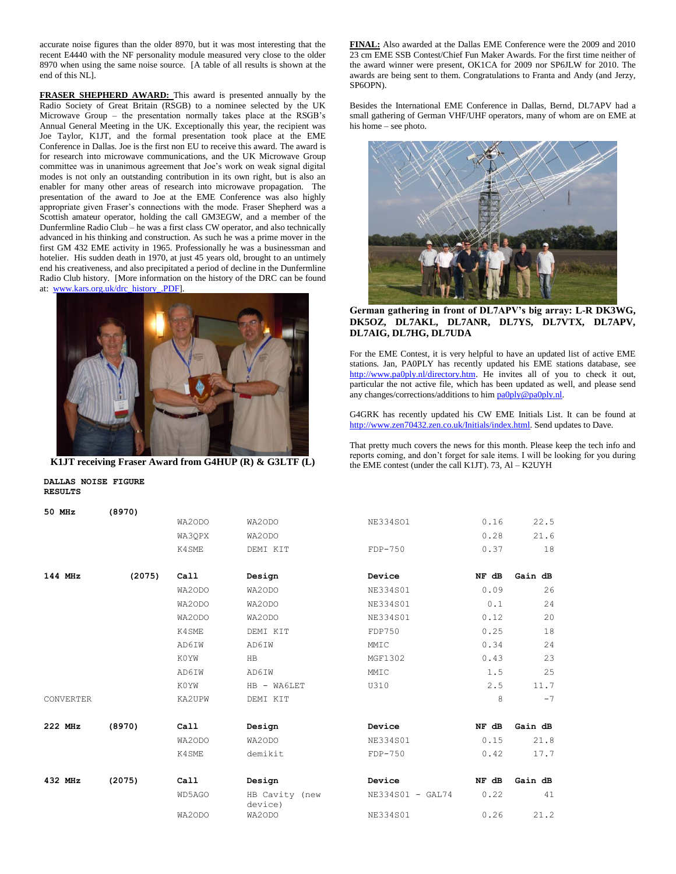accurate noise figures than the older 8970, but it was most interesting that the recent E4440 with the NF personality module measured very close to the older 8970 when using the same noise source. [A table of all results is shown at the end of this NL].

**FRASER SHEPHERD AWARD:** This award is presented annually by the Radio Society of Great Britain (RSGB) to a nominee selected by the UK Microwave Group – the presentation normally takes place at the RSGB's Annual General Meeting in the UK. Exceptionally this year, the recipient was Joe Taylor, K1JT, and the formal presentation took place at the EME Conference in Dallas. Joe is the first non EU to receive this award. The award is for research into microwave communications, and the UK Microwave Group committee was in unanimous agreement that Joe's work on weak signal digital modes is not only an outstanding contribution in its own right, but is also an enabler for many other areas of research into microwave propagation. The presentation of the award to Joe at the EME Conference was also highly appropriate given Fraser's connections with the mode. Fraser Shepherd was a Scottish amateur operator, holding the call GM3EGW, and a member of the Dunfermline Radio Club – he was a first class CW operator, and also technically advanced in his thinking and construction. As such he was a prime mover in the first GM 432 EME activity in 1965. Professionally he was a businessman and hotelier. His sudden death in 1970, at just 45 years old, brought to an untimely end his creativeness, and also precipitated a period of decline in the Dunfermline Radio Club history. [More information on the history of the DRC can be found at: [www.kars.org.uk/drc\\_history\\_.PDF\]](http://www.kars.org.uk/drc_history_.PDF).



**K1JT receiving Fraser Award from G4HUP (R) & G3LTF (L)**

**DALLAS NOISE FIGURE RESULTS**

**FINAL:** Also awarded at the Dallas EME Conference were the 2009 and 2010 23 cm EME SSB Contest/Chief Fun Maker Awards. For the first time neither of the award winner were present, OK1CA for 2009 nor SP6JLW for 2010. The awards are being sent to them. Congratulations to Franta and Andy (and Jerzy, SP6OPN).

Besides the International EME Conference in Dallas, Bernd, DL7APV had a small gathering of German VHF/UHF operators, many of whom are on EME at his home – see photo.



**German gathering in front of DL7APV's big array: L-R DK3WG, DK5OZ, DL7AKL, DL7ANR, DL7YS, DL7VTX, DL7APV, DL7AIG, DL7HG, DL7UDA**

For the EME Contest, it is very helpful to have an updated list of active EME stations. Jan, PA0PLY has recently updated his EME stations database, see [http://www.pa0ply.nl/directory.htm.](http://www.pa0ply.nl/directory.htm) He invites all of you to check it out, particular the not active file, which has been updated as well, and please send any changes/corrections/additions to hi[m pa0ply@pa0ply.nl.](mailto:pa0ply@pa0ply.nl)

G4GRK has recently updated his CW EME Initials List. It can be found at [http://www.zen70432.zen.co.uk/Initials/index.html.](http://www.zen70432.zen.co.uk/Initials/index.html) Send updates to Dave.

That pretty much covers the news for this month. Please keep the tech info and reports coming, and don't forget for sale items. I will be looking for you during the EME contest (under the call K1JT). 73, Al – K2UYH

| 50 MHz    | (8970) |        |                           |                  |       |         |
|-----------|--------|--------|---------------------------|------------------|-------|---------|
|           |        | WA2ODO | WA2ODO                    | NE334SO1         | 0.16  | 22.5    |
|           |        | WA3QPX | WA2ODO                    |                  | 0.28  | 21.6    |
|           |        | K4SME  | DEMI KIT                  | $FDP-750$        | 0.37  | 18      |
| 144 MHz   |        |        |                           | Device           | NF dB | Gain dB |
|           | (2075) | Call   | Design                    |                  |       |         |
|           |        | WA2ODO | WA2ODO                    | NE334S01         | 0.09  | 26      |
|           |        | WA2ODO | WA2ODO                    | <b>NE334S01</b>  | 0.1   | 24      |
|           |        | WA2ODO | WA2ODO                    | NE334S01         | 0.12  | 20      |
|           |        | K4SME  | DEMI KIT                  | FDP750           | 0.25  | 18      |
|           |        | AD6IW  | AD6IW                     | MMIC             | 0.34  | 24      |
|           |        | K0YW   | HB                        | MGF1302          | 0.43  | 23      |
|           |        | AD6IW  | AD6IW                     | MMIC             | 1.5   | 25      |
|           |        | K0YW   | HB - WA6LET               | U310             | 2.5   | 11.7    |
| CONVERTER |        | KA2UPW | DEMI KIT                  |                  | 8     | $-7$    |
| 222 MHz   | (8970) | Call   | Design                    | Device           | NF dB | Gain dB |
|           |        | WA2ODO | WA2ODO                    | NE334S01         | 0.15  | 21.8    |
|           |        | K4SME  | demikit                   | $FDP-750$        | 0.42  | 17.7    |
|           |        |        |                           |                  |       |         |
| 432 MHz   | (2075) | Call   | Design                    | Device           | NF dB | Gain dB |
|           |        | WD5AGO | HB Cavity (new<br>device) | NE334S01 - GAL74 | 0.22  | 41      |
|           |        | WA2ODO | WA2ODO                    | NE334S01         | 0.26  | 21.2    |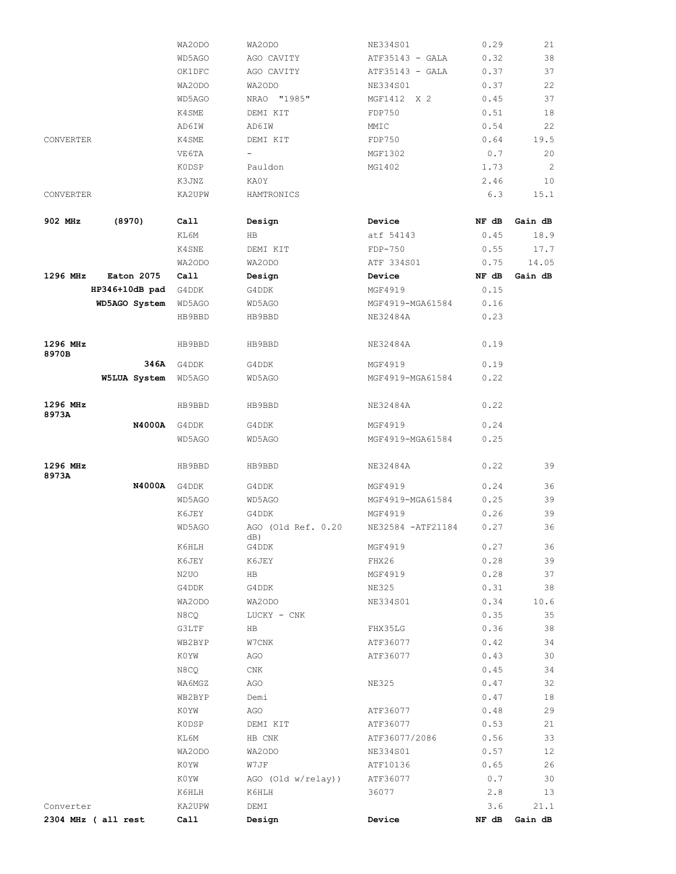|                   |                            | WA2ODO            | WA2ODO                    | NE334S01           | 0.29  | 21      |
|-------------------|----------------------------|-------------------|---------------------------|--------------------|-------|---------|
|                   |                            | WD5AGO            | AGO CAVITY                | ATF35143 - GALA    | 0.32  | 38      |
|                   |                            | OK1DFC            | AGO CAVITY                | ATF35143 - GALA    | 0.37  | 37      |
|                   |                            | WA2ODO            | WA2ODO                    | NE334S01           | 0.37  | 22      |
|                   |                            | WD5AGO            | NRAO "1985"               | MGF1412 X 2        | 0.45  | 37      |
|                   |                            | K4SME             | DEMI KIT                  | FDP750             | 0.51  | 18      |
|                   |                            | AD6IW             | AD6IW                     | MMIC               | 0.54  | 22      |
| CONVERTER         |                            | K4SME             | DEMI KIT                  | FDP750             | 0.64  | 19.5    |
|                   |                            | VE6TA             | $-$                       | MGF1302            | 0.7   | 20      |
|                   |                            | <b>KODSP</b>      | Pauldon                   | MG1402             | 1.73  | 2       |
|                   |                            | K3JNZ             | KA0Y                      |                    | 2.46  | 10      |
| CONVERTER         |                            | KA2UPW            | HAMTRONICS                |                    | 6.3   | 15.1    |
|                   |                            |                   |                           |                    |       |         |
| 902 MHz           | (8970)                     | Call              | Design                    | Device             | NF dB | Gain dB |
|                   |                            | KL6M              | HB                        | atf 54143          | 0.45  | 18.9    |
|                   |                            | K4SNE             | DEMI KIT                  | FDP-750            | 0.55  | 17.7    |
|                   |                            | WA2ODO            | WA2ODO                    | ATF 334S01         | 0.75  | 14.05   |
| 1296 MHz          | Eaton 2075                 | Call              | Design                    | Device             | NF dB | Gain dB |
|                   | HP346+10dB pad             | G4DDK             | G4DDK                     | MGF4919            | 0.15  |         |
|                   | WD5AGO System              | WD5AGO            | WD5AGO                    | MGF4919-MGA61584   | 0.16  |         |
|                   |                            | HB9BBD            | HB9BBD                    | NE32484A           | 0.23  |         |
| 1296 MHz          |                            | HB9BBD            | HB9BBD                    | NE32484A           | 0.19  |         |
| 8970B             |                            |                   |                           |                    |       |         |
|                   |                            | <b>346A</b> G4DDK | G4DDK                     | MGF4919            | 0.19  |         |
|                   | <b>W5LUA System</b> WD5AGO |                   | WD5AGO                    | MGF4919-MGA61584   | 0.22  |         |
| 1296 MHz<br>8973A |                            | HB9BBD            | HB9BBD                    | NE32484A           | 0.22  |         |
|                   | <b>N4000A</b>              | G4DDK             | G4DDK                     | MGF4919            | 0.24  |         |
|                   |                            | WD5AGO            | WD5AGO                    | MGF4919-MGA61584   | 0.25  |         |
| 1296 MHz<br>8973A |                            | HB9BBD            | HB9BBD                    | NE32484A           | 0.22  | 39      |
|                   | <b>N4000A</b>              | G4DDK             | G4DDK                     | MGF4919            | 0.24  | 36      |
|                   |                            | WD5AGO            | WD5AGO                    | MGF4919-MGA61584   | 0.25  | 39      |
|                   |                            | K6JEY             | G4DDK                     | MGF4919            | 0.26  | 39      |
|                   |                            | WD5AGO            | AGO (Old Ref. 0.20<br>dB) | NE32584 - ATF21184 | 0.27  | 36      |
|                   |                            | K6HLH             | G4DDK                     | MGF4919            | 0.27  | 36      |
|                   |                            | K6JEY             | K6JEY                     | FHX26              | 0.28  | 39      |
|                   |                            | N2UO              | HB                        | MGF4919            | 0.28  | 37      |
|                   |                            | G4DDK             | G4DDK                     | <b>NE325</b>       | 0.31  | 38      |
|                   |                            | WA2ODO            | WA2ODO                    | NE334S01           | 0.34  | 10.6    |
|                   |                            | N8CQ              | LUCKY - CNK               |                    | 0.35  | 35      |
|                   |                            | G3LTF             | HB                        | FHX35LG            | 0.36  | 38      |
|                   |                            | WB2BYP            | W7CNK                     | ATF36077           | 0.42  | 34      |
|                   |                            | K0YW              | AGO                       | ATF36077           | 0.43  | 30      |
|                   |                            | N8CQ              | CNK                       |                    | 0.45  | 34      |
|                   |                            | WA6MGZ            | AGO                       | <b>NE325</b>       | 0.47  | 32      |
|                   |                            | WB2BYP            | Demi                      |                    | 0.47  | 18      |
|                   |                            | K0YW              | AGO                       | ATF36077           | 0.48  | 29      |
|                   |                            | <b>KODSP</b>      | DEMI KIT                  | ATF36077           | 0.53  | 21      |
|                   |                            |                   |                           |                    |       | 33      |
|                   |                            | KL6M              | HB CNK                    | ATF36077/2086      | 0.56  |         |
|                   |                            | WA2ODO            | WA2ODO                    | NE334S01           | 0.57  | 12      |
|                   |                            | K0YW              | W7JF                      | ATF10136           | 0.65  | 26      |
|                   |                            | K0YW              | AGO (Old w/relay))        | ATF36077           | 0.7   | 30      |
|                   |                            | K6HLH             | K6HLH                     | 36077              | 2.8   | 13      |
| Converter         |                            | KA2UPW            | DEMI                      |                    | 3.6   | 21.1    |
|                   | 2304 MHz ( all rest        | Call              | Design                    | Device             | NF dB | Gain dB |